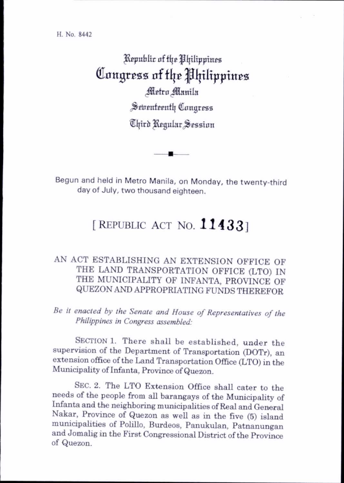## ) Republic of the Philippines Congress of the Philippines Metro Manila Seventeenth Congress  $\mathfrak{A}% _{k}=\mathfrak{A}_{k}$ ltird Regular Session

Begun and held in Metro Manila, on Monday, the twenty-third day of July, two thousand eighteen.

## [REPUBLIC ACT NO. 11433]

## AN ACT ESTABLISHING AN EXTENSION OFFICE OF THE LAND TRANSPORTATION OFFICE (LTO) IN THE MUNICIPALITY OF INFANTA, PROVINCE OF QUEZON AND APPROPRIATING FUNDS THEREFOR

Be it enacted by the Senate and House of Representatives of the Philippines in Congress assembled:

SECTION 1. There shall be established, under the supervision of the Department of Transportation (DOTr), an extension office of the Land Transportation Office (LTO) in the Municipahty of Infanta, Province of Quezon.

Sec. 2. The LTO Extension Office shall cater to the needs of the people from aU barangays of the Municipality of Infanta and the neighboring municipalities of Real and General Nakar, Province of Quezon as well as in the five (5) island municipalities of Polillo, Burdeos, Panukulan, Patnanungan and Jomalig in the First Congressional District of the Province of Quezon.